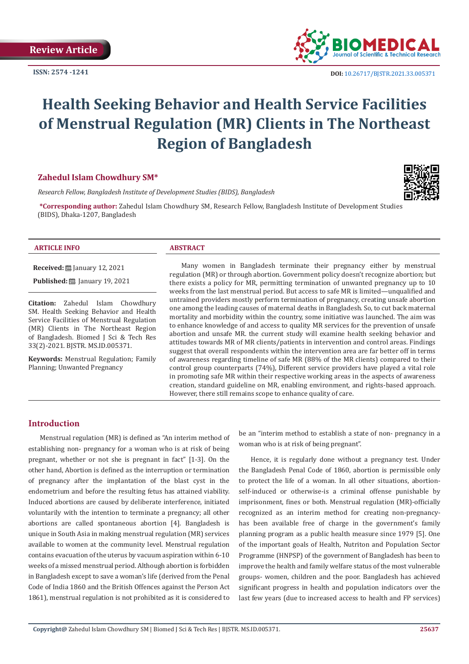**ISSN: 2574 -1241**



# **Health Seeking Behavior and Health Service Facilities of Menstrual Regulation (MR) Clients in The Northeast Region of Bangladesh**

### **Zahedul Islam Chowdhury SM\***

*Research Fellow, Bangladesh Institute of Development Studies (BIDS), Bangladesh*

**\*Corresponding author:** Zahedul Islam Chowdhury SM, Research Fellow, Bangladesh Institute of Development Studies (BIDS), Dhaka-1207, Bangladesh



#### **ARTICLE INFO ABSTRACT**

**Received:** ■ January 12, 2021

**Published:** ■ January 19, 2021

**Citation:** Zahedul Islam Chowdhury SM. Health Seeking Behavior and Health Service Facilities of Menstrual Regulation (MR) Clients in The Northeast Region of Bangladesh. Biomed J Sci & Tech Res 33(2)-2021. BJSTR. MS.ID.005371.

**Keywords:** Menstrual Regulation; Family Planning; Unwanted Pregnancy

Many women in Bangladesh terminate their pregnancy either by menstrual regulation (MR) or through abortion. Government policy doesn't recognize abortion; but there exists a policy for MR, permitting termination of unwanted pregnancy up to 10 weeks from the last menstrual period. But access to safe MR is limited—unqualified and untrained providers mostly perform termination of pregnancy, creating unsafe abortion one among the leading causes of maternal deaths in Bangladesh. So, to cut back maternal mortality and morbidity within the country, some initiative was launched. The aim was to enhance knowledge of and access to quality MR services for the prevention of unsafe abortion and unsafe MR. the current study will examine health seeking behavior and attitudes towards MR of MR clients/patients in intervention and control areas. Findings suggest that overall respondents within the intervention area are far better off in terms of awareness regarding timeline of safe MR (88% of the MR clients) compared to their control group counterparts (74%), Different service providers have played a vital role in promoting safe MR within their respective working areas in the aspects of awareness creation, standard guideline on MR, enabling environment, and rights-based approach. However, there still remains scope to enhance quality of care.

#### **Introduction**

Menstrual regulation (MR) is defined as "An interim method of establishing non- pregnancy for a woman who is at risk of being pregnant, whether or not she is pregnant in fact" [1-3]. On the other hand, Abortion is defined as the interruption or termination of pregnancy after the implantation of the blast cyst in the endometrium and before the resulting fetus has attained viability. Induced abortions are caused by deliberate interference, initiated voluntarily with the intention to terminate a pregnancy; all other abortions are called spontaneous abortion [4]. Bangladesh is unique in South Asia in making menstrual regulation (MR) services available to women at the community level. Menstrual regulation contains evacuation of the uterus by vacuum aspiration within 6-10 weeks of a missed menstrual period. Although abortion is forbidden in Bangladesh except to save a woman's life (derived from the Penal Code of India 1860 and the British Offences against the Person Act 1861), menstrual regulation is not prohibited as it is considered to

be an "interim method to establish a state of non- pregnancy in a woman who is at risk of being pregnant".

Hence, it is regularly done without a pregnancy test. Under the Bangladesh Penal Code of 1860, abortion is permissible only to protect the life of a woman. In all other situations, abortionself-induced or otherwise-is a criminal offense punishable by imprisonment, fines or both. Menstrual regulation (MR)-officially recognized as an interim method for creating non-pregnancyhas been available free of charge in the government's family planning program as a public health measure since 1979 [5]. One of the important goals of Health, Nutriton and Population Sector Programme (HNPSP) of the government of Bangladesh has been to improve the health and family welfare status of the most vulnerable groups- women, children and the poor. Bangladesh has achieved significant progress in health and population indicators over the last few years (due to increased access to health and FP services)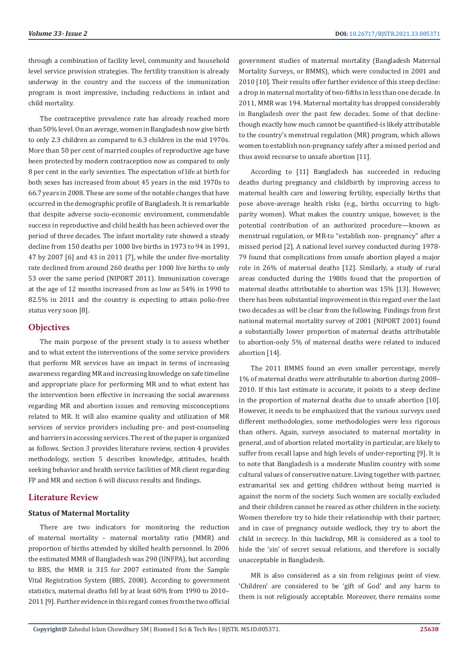through a combination of facility level, community and household level service provision strategies. The fertility transition is already underway in the country and the success of the immunization program is most impressive, including reductions in infant and child mortality.

The contraceptive prevalence rate has already reached more than 50% level. On an average, women in Bangladesh now give birth to only 2.3 children as compared to 6.3 children in the mid 1970s. More than 50 per cent of married couples of reproductive age have been protected by modern contraception now as compared to only 8 per cent in the early seventies. The expectation of life at birth for both sexes has increased from about 45 years in the mid 1970s to 66.7 years in 2008. These are some of the notable changes that have occurred in the demographic profile of Bangladesh. It is remarkable that despite adverse socio-economic environment, commendable success in reproductive and child health has been achieved over the period of three decades. The infant mortality rate showed a steady decline from 150 deaths per 1000 live births in 1973 to 94 in 1991, 47 by 2007 [6] and 43 in 2011 [7], while the under five-mortality rate declined from around 260 deaths per 1000 live births to only 53 over the same period (NIPORT 2011). Immunization coverage at the age of 12 months increased from as low as 54% in 1990 to 82.5% in 2011 and the country is expecting to attain polio-free status very soon [8].

#### **Objectives**

The main purpose of the present study is to assess whether and to what extent the interventions of the some service providers that perform MR services have an impact in terms of increasing awareness regarding MR and increasing knowledge on safe timeline and appropriate place for performing MR and to what extent has the intervention been effective in increasing the social awareness regarding MR and abortion issues and removing misconceptions related to MR. It will also examine quality and utilization of MR services of service providers including pre- and post-counseling and barriers in accessing services. The rest of the paper is organized as follows. Section 3 provides literature review, section 4 provides methodology, section 5 describes knowledge, attitudes, health seeking behavior and health service facilities of MR client regarding FP and MR and section 6 will discuss results and findings.

#### **Literature Review**

#### **Status of Maternal Mortality**

There are two indicators for monitoring the reduction of maternal mortality – maternal mortality ratio (MMR) and proportion of births attended by skilled health personnel. In 2006 the estimated MMR of Bangladesh was 290 (UNFPA), but according to BBS, the MMR is 315 for 2007 estimated from the Sample Vital Registration System (BBS, 2008). According to government statistics, maternal deaths fell by at least 60% from 1990 to 2010– 2011 [9]. Further evidence in this regard comes from the two official government studies of maternal mortality (Bangladesh Maternal Mortality Surveys, or BMMS), which were conducted in 2001 and 2010 [10]. Their results offer further evidence of this steep decline: a drop in maternal mortality of two-fifths in less than one decade. In 2011, MMR was 194. Maternal mortality has dropped considerably in Bangladesh over the past few decades. Some of that declinethough exactly how much cannot be quantified-is likely attributable to the country's menstrual regulation (MR) program, which allows women to establish non-pregnancy safely after a missed period and thus avoid recourse to unsafe abortion [11].

According to [11] Bangladesh has succeeded in reducing deaths during pregnancy and childbirth by improving access to maternal health care and lowering fertility, especially births that pose above-average health risks (e.g., births occurring to highparity women). What makes the country unique, however, is the potential contribution of an authorized procedure—known as menstrual regulation, or MR-to "establish non- pregnancy" after a missed period [2]. A national level survey conducted during 1978- 79 found that complications from unsafe abortion played a major role in 26% of maternal deaths [12]. Similarly, a study of rural areas conducted during the 1980s found that the proportion of maternal deaths attributable to abortion was 15% [13]. However, there has been substantial improvement in this regard over the last two decades as will be clear from the following. Findings from first national maternal mortality survey of 2001 (NIPORT 2001) found a substantially lower proportion of maternal deaths attributable to abortion-only 5% of maternal deaths were related to induced abortion [14].

The 2011 BMMS found an even smaller percentage, merely 1% of maternal deaths were attributable to abortion during 2008– 2010. If this last estimate is accurate, it points to a steep decline in the proportion of maternal deaths due to unsafe abortion [10]. However, it needs to be emphasized that the various surveys used different methodologies, some methodologies were less rigorous than others. Again, surveys associated to maternal mortality in general, and of abortion related mortality in particular, are likely to suffer from recall lapse and high levels of under-reporting [9]. It is to note that Bangladesh is a moderate Muslim country with some cultural values of conservative nature. Living together with partner, extramarital sex and getting children without being married is against the norm of the society. Such women are socially excluded and their children cannot be reared as other children in the society. Women therefore try to hide their relationship with their partner, and in case of pregnancy outside wedlock, they try to abort the child in secrecy. In this backdrop, MR is considered as a tool to hide the 'sin' of secret sexual relations, and therefore is socially unacceptable in Bangladesh.

MR is also considered as a sin from religious point of view. 'Children' are considered to be 'gift of God' and any harm to them is not religiously acceptable. Moreover, there remains some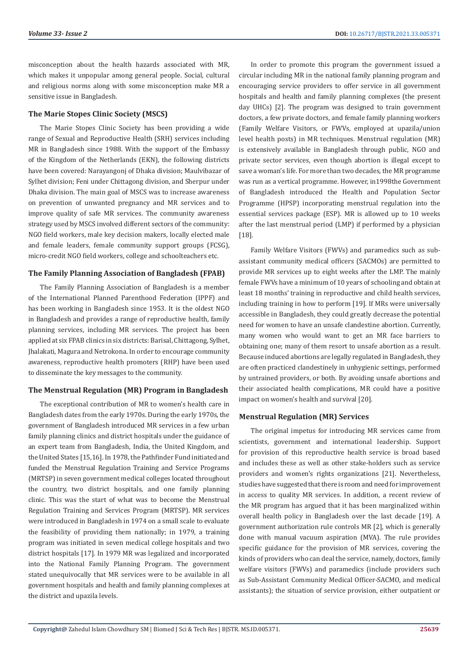misconception about the health hazards associated with MR, which makes it unpopular among general people. Social, cultural and religious norms along with some misconception make MR a sensitive issue in Bangladesh.

### **The Marie Stopes Clinic Society (MSCS)**

The Marie Stopes Clinic Society has been providing a wide range of Sexual and Reproductive Health (SRH) services including MR in Bangladesh since 1988. With the support of the Embassy of the Kingdom of the Netherlands (EKN), the following districts have been covered: Narayangonj of Dhaka division; Maulvibazar of Sylhet division; Feni under Chittagong division, and Sherpur under Dhaka division. The main goal of MSCS was to increase awareness on prevention of unwanted pregnancy and MR services and to improve quality of safe MR services. The community awareness strategy used by MSCS involved different sectors of the community: NGO field workers, male key decision makers, locally elected male and female leaders, female community support groups (FCSG), micro-credit NGO field workers, college and schoolteachers etc.

#### **The Family Planning Association of Bangladesh (FPAB)**

The Family Planning Association of Bangladesh is a member of the International Planned Parenthood Federation (IPPF) and has been working in Bangladesh since 1953. It is the oldest NGO in Bangladesh and provides a range of reproductive health, family planning services, including MR services. The project has been applied at six FPAB clinics in six districts: Barisal, Chittagong, Sylhet, Jhalakati, Magura and Netrokona. In order to encourage community awareness, reproductive health promoters (RHP) have been used to disseminate the key messages to the community.

#### **The Menstrual Regulation (MR) Program in Bangladesh**

The exceptional contribution of MR to women's health care in Bangladesh dates from the early 1970s. During the early 1970s, the government of Bangladesh introduced MR services in a few urban family planning clinics and district hospitals under the guidance of an expert team from Bangladesh, India, the United Kingdom, and the United States [15,16]. In 1978, the Pathfinder Fund initiated and funded the Menstrual Regulation Training and Service Programs (MRTSP) in seven government medical colleges located throughout the country, two district hospitals, and one family planning clinic. This was the start of what was to become the Menstrual Regulation Training and Services Program (MRTSP). MR services were introduced in Bangladesh in 1974 on a small scale to evaluate the feasibility of providing them nationally; in 1979, a training program was initiated in seven medical college hospitals and two district hospitals [17]. In 1979 MR was legalized and incorporated into the National Family Planning Program. The government stated unequivocally that MR services were to be available in all government hospitals and health and family planning complexes at the district and upazila levels.

In order to promote this program the government issued a circular including MR in the national family planning program and encouraging service providers to offer service in all government hospitals and health and family planning complexes (the present day UHCs) [2]. The program was designed to train government doctors, a few private doctors, and female family planning workers (Family Welfare Visitors, or FWVs, employed at upazila/union level health posts) in MR techniques. Menstrual regulation (MR) is extensively available in Bangladesh through public, NGO and private sector services, even though abortion is illegal except to save a woman's life. For more than two decades, the MR programme was run as a vertical programme. However, in1998the Government of Bangladesh introduced the Health and Population Sector Programme (HPSP) incorporating menstrual regulation into the essential services package (ESP). MR is allowed up to 10 weeks after the last menstrual period (LMP) if performed by a physician [18].

Family Welfare Visitors (FWVs) and paramedics such as subassistant community medical officers (SACMOs) are permitted to provide MR services up to eight weeks after the LMP. The mainly female FWVs have a minimum of 10 years of schooling and obtain at least 18 months' training in reproductive and child health services, including training in how to perform [19]. If MRs were universally accessible in Bangladesh, they could greatly decrease the potential need for women to have an unsafe clandestine abortion. Currently, many women who would want to get an MR face barriers to obtaining one; many of them resort to unsafe abortion as a result. Because induced abortions are legally regulated in Bangladesh, they are often practiced clandestinely in unhygienic settings, performed by untrained providers, or both. By avoiding unsafe abortions and their associated health complications, MR could have a positive impact on women's health and survival [20].

#### **Menstrual Regulation (MR) Services**

The original impetus for introducing MR services came from scientists, government and international leadership. Support for provision of this reproductive health service is broad based and includes these as well as other stake-holders such as service providers and women's rights organizations [21]. Nevertheless, studies have suggested that there is room and need for improvement in access to quality MR services. In addition, a recent review of the MR program has argued that it has been marginalized within overall health policy in Bangladesh over the last decade [19]. A government authorization rule controls MR [2], which is generally done with manual vacuum aspiration (MVA). The rule provides specific guidance for the provision of MR services, covering the kinds of providers who can deal the service, namely, doctors, family welfare visitors (FWVs) and paramedics (include providers such as Sub-Assistant Community Medical Officer-SACMO, and medical assistants); the situation of service provision, either outpatient or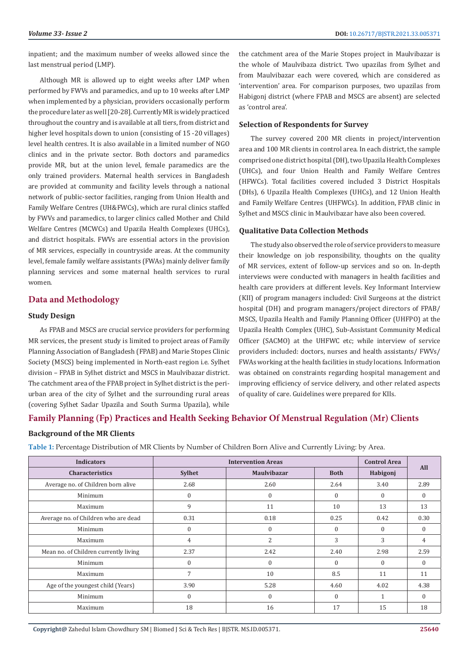inpatient; and the maximum number of weeks allowed since the last menstrual period (LMP).

Although MR is allowed up to eight weeks after LMP when performed by FWVs and paramedics, and up to 10 weeks after LMP when implemented by a physician, providers occasionally perform the procedure later as well [20-28]. Currently MR is widely practiced throughout the country and is available at all tiers, from district and higher level hospitals down to union (consisting of 15 -20 villages) level health centres. It is also available in a limited number of NGO clinics and in the private sector. Both doctors and paramedics provide MR, but at the union level, female paramedics are the only trained providers. Maternal health services in Bangladesh are provided at community and facility levels through a national network of public-sector facilities, ranging from Union Health and Family Welfare Centres (UH&FWCs), which are rural clinics staffed by FWVs and paramedics, to larger clinics called Mother and Child Welfare Centres (MCWCs) and Upazila Health Complexes (UHCs), and district hospitals. FWVs are essential actors in the provision of MR services, especially in countryside areas. At the community level, female family welfare assistants (FWAs) mainly deliver family planning services and some maternal health services to rural women.

## **Data and Methodology**

#### **Study Design**

As FPAB and MSCS are crucial service providers for performing MR services, the present study is limited to project areas of Family Planning Association of Bangladesh (FPAB) and Marie Stopes Clinic Society (MSCS) being implemented in North-east region i.e. Sylhet division – FPAB in Sylhet district and MSCS in Maulvibazar district. The catchment area of the FPAB project in Sylhet district is the periurban area of the city of Sylhet and the surrounding rural areas (covering Sylhet Sadar Upazila and South Surma Upazila), while

the catchment area of the Marie Stopes project in Maulvibazar is the whole of Maulvibaza district. Two upazilas from Sylhet and from Maulvibazar each were covered, which are considered as 'intervention' area. For comparison purposes, two upazilas from Habigonj district (where FPAB and MSCS are absent) are selected as 'control area'.

#### **Selection of Respondents for Survey**

The survey covered 200 MR clients in project/intervention area and 100 MR clients in control area. In each district, the sample comprised one district hospital (DH), two Upazila Health Complexes (UHCs), and four Union Health and Family Welfare Centres (HFWCs). Total facilities covered included 3 District Hospitals (DHs), 6 Upazila Health Complexes (UHCs), and 12 Union Health and Family Welfare Centres (UHFWCs). In addition, FPAB clinic in Sylhet and MSCS clinic in Maulvibazar have also been covered.

#### **Qualitative Data Collection Methods**

The study also observed the role of service providers to measure their knowledge on job responsibility, thoughts on the quality of MR services, extent of follow-up services and so on. In-depth interviews were conducted with managers in health facilities and health care providers at different levels. Key Informant Interview (KII) of program managers included: Civil Surgeons at the district hospital (DH) and program managers/project directors of FPAB/ MSCS, Upazila Health and Family Planning Officer (UHFPO) at the Upazila Health Complex (UHC), Sub-Assistant Community Medical Officer (SACMO) at the UHFWC etc; while interview of service providers included: doctors, nurses and health assistants/ FWVs/ FWAs working at the health facilities in study locations. Information was obtained on constraints regarding hospital management and improving efficiency of service delivery, and other related aspects of quality of care. Guidelines were prepared for KIIs.

# **Family Planning (Fp) Practices and Health Seeking Behavior Of Menstrual Regulation (Mr) Clients**

#### **Background of the MR Clients**

**Table 1:** Percentage Distribution of MR Clients by Number of Children Born Alive and Currently Living: by Area.

| <b>Indicators</b>                     |                                     | <b>Intervention Areas</b> |             | <b>Control Area</b> | <b>All</b> |  |
|---------------------------------------|-------------------------------------|---------------------------|-------------|---------------------|------------|--|
| <b>Characteristics</b>                | <b>Sylhet</b><br><b>Maulvibazar</b> |                           | <b>Both</b> | Habigonj            |            |  |
| Average no. of Children born alive    | 2.68                                | 2.60                      | 2.64        | 3.40                | 2.89       |  |
| Minimum                               | $\Omega$                            | $\mathbf{0}$              | $\Omega$    | $\Omega$            | $\Omega$   |  |
| Maximum                               | 9                                   | 11                        | 10          | 13                  | 13         |  |
| Average no. of Children who are dead  | 0.31                                | 0.18                      | 0.25        | 0.42                | 0.30       |  |
| Minimum                               | $\Omega$                            | $\mathbf{0}$              | $\Omega$    | $\Omega$            | $\Omega$   |  |
| Maximum                               | 4                                   | 2                         | 3           | 3                   | 4          |  |
| Mean no. of Children currently living | 2.37                                | 2.42                      | 2.40        | 2.98                | 2.59       |  |
| Minimum                               | $\Omega$                            | $\mathbf{0}$              | 0           | $\mathbf{0}$        | $\Omega$   |  |
| Maximum                               | 7                                   | 10                        | 8.5         | 11                  | 11         |  |
| Age of the youngest child (Years)     | 3.90                                | 5.28                      | 4.60        | 4.02                | 4.38       |  |
| Minimum                               | $\Omega$                            | $\Omega$                  | $\Omega$    | 1                   | $\Omega$   |  |
| Maximum                               | 18                                  | 16                        | 17          | 15                  | 18         |  |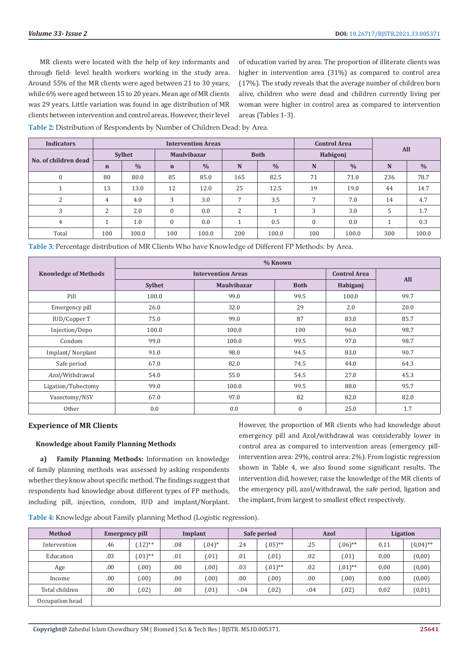MR clients were located with the help of key informants and through field- level health workers working in the study area. Around 55% of the MR clients were aged between 21 to 30 years, while 6% were aged between 15 to 20 years. Mean age of MR clients was 29 years. Little variation was found in age distribution of MR clients between intervention and control areas. However, their level of education varied by area. The proportion of illiterate clients was higher in intervention area (31%) as compared to control area (17%). The study reveals that the average number of children born alive, children who were dead and children currently living per woman were higher in control area as compared to intervention areas (Tables 1-3).

**Table 2:** Distribution of Respondents by Number of Children Dead: by Area.

| <b>Indicators</b>    | <b>Control Area</b><br><b>Intervention Areas</b> |               |                    |               |                |               |              |               | All |               |  |
|----------------------|--------------------------------------------------|---------------|--------------------|---------------|----------------|---------------|--------------|---------------|-----|---------------|--|
| No. of children dead | Sylhet                                           |               | <b>Maulvibazar</b> |               |                | <b>Both</b>   |              | Habigonj      |     |               |  |
|                      | $\mathbf n$                                      | $\frac{0}{0}$ | $\mathbf n$        | $\frac{0}{0}$ | N              | $\frac{0}{0}$ | N            | $\frac{0}{0}$ | N   | $\frac{0}{0}$ |  |
| $\theta$             | 80                                               | 80.0          | 85                 | 85.0          | 165            | 82.5          | 71           | 71.0          | 236 | 78.7          |  |
|                      | 13                                               | 13.0          | 12                 | 12.0          | 25             | 12.5          | 19           | 19.0          | 44  | 14.7          |  |
| C.                   | 4                                                | 4.0           | 3                  | 3.0           | $\overline{ }$ | 3.5           |              | 7.0           | 14  | 4.7           |  |
| 3                    | $\overline{2}$                                   | 2.0           | $\mathbf{0}$       | 0.0           | 2              |               | 3            | 3.0           | 5   | 1.7           |  |
| 4                    |                                                  | 1.0           | $\mathbf{0}$       | 0.0           |                | 0.5           | $\mathbf{0}$ | 0.0           |     | 0.3           |  |
| Total                | 100                                              | 100.0         | 100                | 100.0         | 200            | 100.0         | 100          | 100.0         | 300 | 100.0         |  |

**Table 3:** Percentage distribution of MR Clients Who have Knowledge of Different FP Methods: by Area.

|                             | % Known       |                           |             |                     |      |  |  |  |  |
|-----------------------------|---------------|---------------------------|-------------|---------------------|------|--|--|--|--|
| <b>Knowledge of Methods</b> |               | <b>Intervention Areas</b> |             | <b>Control Area</b> | All  |  |  |  |  |
|                             | <b>Sylhet</b> | <b>Maulvibazar</b>        | <b>Both</b> | Habiganj            |      |  |  |  |  |
| Pill                        | 100.0         | 99.0                      | 99.5        | 100.0               | 99.7 |  |  |  |  |
| Emergency pill              | 26.0          | 32.0                      | 29          | 2.0                 | 20.0 |  |  |  |  |
| IUD/Copper T                | 75.0          | 99.0                      | 87          | 83.0                | 85.7 |  |  |  |  |
| Injection/Depo              | 100.0         | 100.0                     | 100         | 96.0                | 98.7 |  |  |  |  |
| Condom                      | 99.0          | 100.0                     | 99.5        | 97.0                | 98.7 |  |  |  |  |
| Implant/Norplant            | 91.0          | 98.0                      | 94.5        | 83.0                | 90.7 |  |  |  |  |
| Safe period                 | 67.0          | 82.0                      | 74.5        | 44.0                | 64.3 |  |  |  |  |
| Azol/Withdrawal             | 54.0          | 55.0                      | 54.5        | 27.0                | 45.3 |  |  |  |  |
| Ligation/Tubectomy          | 99.0          | 100.0                     | 99.5        | 88.0                | 95.7 |  |  |  |  |
| Vasectomy/NSV               | 67.0          | 97.0                      | 82          | 82.0                | 82.0 |  |  |  |  |
| <b>Other</b>                | 0.0           | 0.0                       | $\theta$    | 25.0                | 1.7  |  |  |  |  |

#### **Experience of MR Clients**

#### **Knowledge about Family Planning Methods**

**a) Family Planning Methods:** Information on knowledge of family planning methods was assessed by asking respondents whether they know about specific method. The findings suggest that respondents had knowledge about different types of FP methods, including pill, injection, condom, IUD and implant/Norplant. However, the proportion of MR clients who had knowledge about emergency pill and Azol/withdrawal was considerably lower in control area as compared to intervention areas (emergency pillintervention area: 29%, control area: 2%). From logistic regression shown in Table 4, we also found some significant results. The intervention did, however, raise the knowledge of the MR clients of the emergency pill, azol/withdrawal, the safe period, ligation and the implant, from largest to smallest effect respectively.

**Table 4:** Knowledge about Family planning Method (Logistic regression).

| <b>Method</b>   | <b>Emergency pill</b> |                      | Implant |           | Safe period |            | Azol   |             | <b>Ligation</b> |             |
|-----------------|-----------------------|----------------------|---------|-----------|-------------|------------|--------|-------------|-----------------|-------------|
| Intervention    | .46                   | $(12)$ <sup>**</sup> | .08     | $(0.04)*$ | .24         | $(.05)$ ** | .25    | $(0.06)$ ** | 0,11            | $(0,04)$ ** |
| Education       | .03                   | $(0.01)$ **          | .01     | (01)      | .01         | (01)       | .02    | (.01)       | 0,00            | (0,00)      |
| Age             | .00                   | (.00)                | .00     | (00)      | .03         | $(.01)$ ** | .02    | $(.01)$ **  | 0,00            | (0,00)      |
| Income          | .00                   | (.00)                | .00     | .00)      | .00         | (.00)      | .00    | (.00)       | 0,00            | (0,00)      |
| Total children  | .00                   | (.02)                | .00     | .01)      | $-.04$      | (02)       | $-.04$ | (.02)       | 0,02            | (0, 01)     |
| Occupation head |                       |                      |         |           |             |            |        |             |                 |             |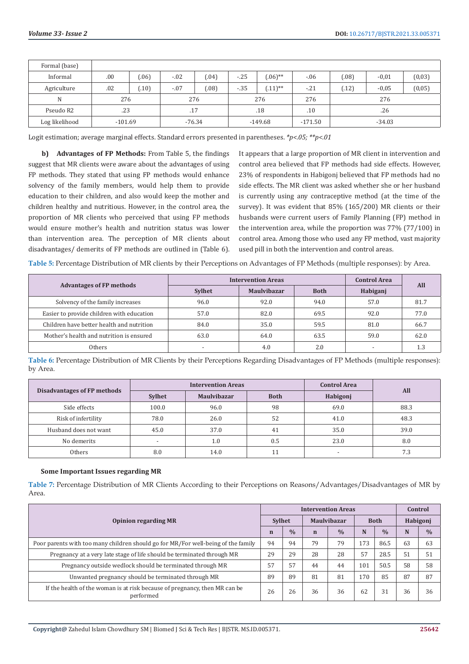| Formal (base)  |           |        |        |          |       |             |           |          |         |         |
|----------------|-----------|--------|--------|----------|-------|-------------|-----------|----------|---------|---------|
| Informal       | .00       | (06)   | $-.02$ | (04)     | $-25$ | $(.06)$ **  | $-.06$    | (.08)    | $-0,01$ | (0, 03) |
| Agriculture    | .02       | (0.10) | $-.07$ | (08)     | $-35$ | $(0.11)$ ** | $-21$     | (.12)    | $-0.05$ | (0, 05) |
| N              | 276       |        | 276    |          |       | 276         | 276       |          | 276     |         |
| Pseudo R2      | .23       |        | .17    |          |       | .18         | .10       | .26      |         |         |
| Log likelihood | $-101.69$ |        |        | $-76.34$ |       | $-149.68$   | $-171.50$ | $-34.03$ |         |         |

Logit estimation; average marginal effects. Standard errors presented in parentheses. *\*p<.05; \*\*p<.01*

 **b) Advantages of FP Methods:** From Table 5, the findings suggest that MR clients were aware about the advantages of using FP methods. They stated that using FP methods would enhance solvency of the family members, would help them to provide education to their children, and also would keep the mother and children healthy and nutritious. However, in the control area, the proportion of MR clients who perceived that using FP methods would ensure mother's health and nutrition status was lower than intervention area. The perception of MR clients about disadvantages/ demerits of FP methods are outlined in (Table 6).

It appears that a large proportion of MR client in intervention and control area believed that FP methods had side effects. However, 23% of respondents in Habigonj believed that FP methods had no side effects. The MR client was asked whether she or her husband is currently using any contraceptive method (at the time of the survey). It was evident that 85% (165/200) MR clients or their husbands were current users of Family Planning (FP) method in the intervention area, while the proportion was 77% (77/100) in control area. Among those who used any FP method, vast majority used pill in both the intervention and control areas.

**Table 5:** Percentage Distribution of MR clients by their Perceptions on Advantages of FP Methods (multiple responses): by Area.

|                                           | <b>Intervention Areas</b>           | <b>Control Area</b> | All         |          |      |
|-------------------------------------------|-------------------------------------|---------------------|-------------|----------|------|
| <b>Advantages of FP methods</b>           | <b>Maulvibazar</b><br><b>Sylhet</b> |                     | <b>Both</b> | Habiganj |      |
| Solvency of the family increases          | 96.0                                | 92.0                | 94.0        | 57.0     | 81.7 |
| Easier to provide children with education | 57.0                                | 82.0                | 69.5        | 92.0     | 77.0 |
| Children have better health and nutrition | 84.0                                | 35.0                | 59.5        | 81.0     | 66.7 |
| Mother's health and nutrition is ensured  | 63.0                                | 64.0                | 63.5        | 59.0     | 62.0 |
| Others                                    |                                     | 4.0                 | 2.0         |          | 1.3  |

**Table 6:** Percentage Distribution of MR Clients by their Perceptions Regarding Disadvantages of FP Methods (multiple responses): by Area.

|                             |                          | <b>Intervention Areas</b> | <b>Control Area</b> | All                      |      |
|-----------------------------|--------------------------|---------------------------|---------------------|--------------------------|------|
| Disadvantages of FP methods | <b>Sylhet</b>            | <b>Maulvibazar</b>        | <b>Both</b>         | Habigonj                 |      |
| Side effects                | 100.0                    | 96.0                      | 98                  | 69.0                     | 88.3 |
| Risk of infertility         | 78.0                     | 26.0                      | 52                  | 41.0                     | 48.3 |
| Husband does not want       | 45.0                     | 37.0                      | 41                  | 35.0                     | 39.0 |
| No demerits                 | $\overline{\phantom{a}}$ | 1.0                       | 0.5                 | 23.0                     | 8.0  |
| Others                      | 8.0                      | 14.0                      | 11                  | $\overline{\phantom{a}}$ | 7.3  |

#### **Some Important Issues regarding MR**

**Table 7:** Percentage Distribution of MR Clients According to their Perceptions on Reasons/Advantages/Disadvantages of MR by Area.

|                                                                                         | <b>Intervention Areas</b> |               |                    |               |             |               | Control  |               |
|-----------------------------------------------------------------------------------------|---------------------------|---------------|--------------------|---------------|-------------|---------------|----------|---------------|
| <b>Opinion regarding MR</b>                                                             | <b>Sylhet</b>             |               | <b>Maulvibazar</b> |               | <b>Both</b> |               | Habigonj |               |
|                                                                                         | $\overline{\mathbf{n}}$   | $\frac{0}{0}$ | $\mathbf n$        | $\frac{0}{0}$ | N           | $\frac{0}{0}$ | N        | $\frac{0}{0}$ |
| Poor parents with too many children should go for MR/For well-being of the family       | 94                        | 94            | 79                 | 79            | 173         | 86.5          | 63       | 63            |
| Pregnancy at a very late stage of life should be terminated through MR                  | 29                        | 29            | 28                 | 28            | 57          | 28.5          | 51       | 51            |
| Pregnancy outside wedlock should be terminated through MR                               | 57                        | 57            | 44                 | 44            | 101         | 50.5          | 58       | 58            |
| Unwanted pregnancy should be terminated through MR                                      | 89                        | 89            | 81                 | 81            | 170         | 85            | 87       | 87            |
| If the health of the woman is at risk because of pregnancy, then MR can be<br>performed | 26                        | 26            | 36                 | 36            | 62          | 31            | 36       | 36            |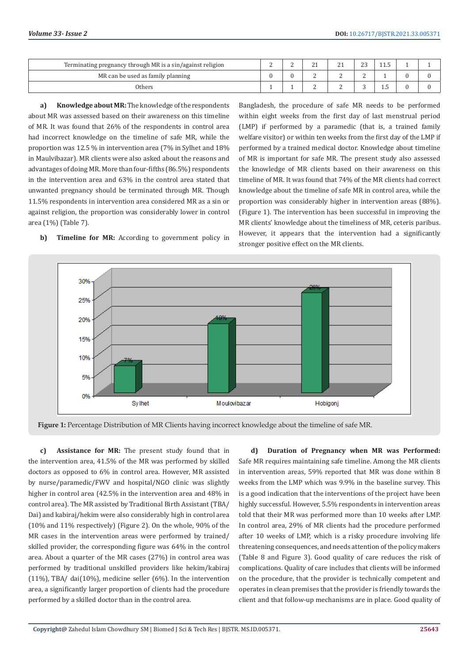| Terminating pregnancy through MR is a sin/against religion | - | $\sim$<br><u>_</u> | n,<br><u>_</u> | $\sim$<br>-- |  |  |
|------------------------------------------------------------|---|--------------------|----------------|--------------|--|--|
| MR can be used as family planning                          |   |                    | ∼              |              |  |  |
| Others                                                     |   |                    | -              |              |  |  |

**a) Knowledge about MR:** The knowledge of the respondents about MR was assessed based on their awareness on this timeline of MR. It was found that 26% of the respondents in control area had incorrect knowledge on the timeline of safe MR, while the proportion was 12.5 % in intervention area (7% in Sylhet and 18% in Maulvibazar). MR clients were also asked about the reasons and advantages of doing MR. More than four-fifths (86.5%) respondents in the intervention area and 63% in the control area stated that unwanted pregnancy should be terminated through MR. Though 11.5% respondents in intervention area considered MR as a sin or against religion, the proportion was considerably lower in control area (1%) (Table 7).

**b) Timeline for MR:** According to government policy in

Bangladesh, the procedure of safe MR needs to be performed within eight weeks from the first day of last menstrual period (LMP) if performed by a paramedic (that is, a trained family welfare visitor) or within ten weeks from the first day of the LMP if performed by a trained medical doctor. Knowledge about timeline of MR is important for safe MR. The present study also assessed the knowledge of MR clients based on their awareness on this timeline of MR. It was found that 74% of the MR clients had correct knowledge about the timeline of safe MR in control area, while the proportion was considerably higher in intervention areas (88%). (Figure 1). The intervention has been successful in improving the MR clients' knowledge about the timeliness of MR, ceteris paribus. However, it appears that the intervention had a significantly stronger positive effect on the MR clients.



**Figure 1:** Percentage Distribution of MR Clients having incorrect knowledge about the timeline of safe MR.

**c) Assistance for MR:** The present study found that in the intervention area, 41.5% of the MR was performed by skilled doctors as opposed to 6% in control area. However, MR assisted by nurse/paramedic/FWV and hospital/NGO clinic was slightly higher in control area (42.5% in the intervention area and 48% in control area). The MR assisted by Traditional Birth Assistant (TBA/ Dai) and kabiraj/hekim were also considerably high in control area (10% and 11% respectively) (Figure 2). On the whole, 90% of the MR cases in the intervention areas were performed by trained/ skilled provider, the corresponding figure was 64% in the control area. About a quarter of the MR cases (27%) in control area was performed by traditional unskilled providers like hekim/kabiraj (11%), TBA/ dai(10%), medicine seller (6%). In the intervention area, a significantly larger proportion of clients had the procedure performed by a skilled doctor than in the control area.

**d) Duration of Pregnancy when MR was Performed:** Safe MR requires maintaining safe timeline. Among the MR clients in intervention areas, 59% reported that MR was done within 8 weeks from the LMP which was 9.9% in the baseline survey. This is a good indication that the interventions of the project have been highly successful. However, 5.5% respondents in intervention areas told that their MR was performed more than 10 weeks after LMP. In control area, 29% of MR clients had the procedure performed after 10 weeks of LMP, which is a risky procedure involving life threatening consequences, and needs attention of the policy makers (Table 8 and Figure 3). Good quality of care reduces the risk of complications. Quality of care includes that clients will be informed on the procedure, that the provider is technically competent and operates in clean premises that the provider is friendly towards the client and that follow-up mechanisms are in place. Good quality of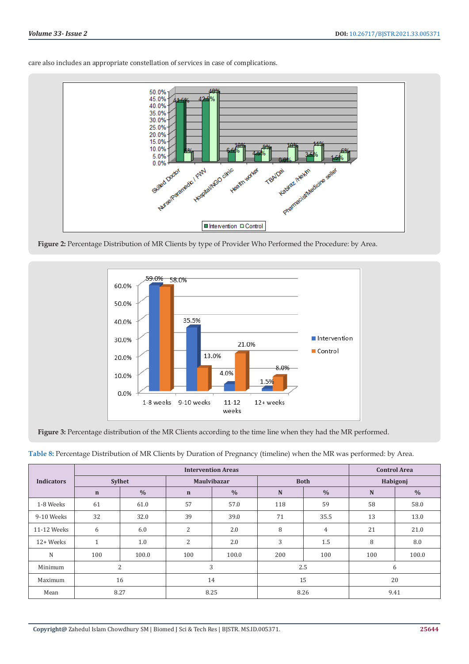



Figure 2: Percentage Distribution of MR Clients by type of Provider Who Performed the Procedure: by Area.



Figure 3: Percentage distribution of the MR Clients according to the time line when they had the MR performed.

| Table 8: Percentage Distribution of MR Clients by Duration of Pregnancy (timeline) when the MR was performed: by Area. |  |  |  |
|------------------------------------------------------------------------------------------------------------------------|--|--|--|
|------------------------------------------------------------------------------------------------------------------------|--|--|--|

|                   |              |               |                | <b>Intervention Areas</b> |     |                |           | <b>Control Area</b> |  |  |
|-------------------|--------------|---------------|----------------|---------------------------|-----|----------------|-----------|---------------------|--|--|
| <b>Indicators</b> |              | <b>Sylhet</b> |                | <b>Maulvibazar</b>        |     | <b>Both</b>    | Habigonj  |                     |  |  |
|                   | $\mathbf n$  | $\frac{0}{0}$ | $\mathbf n$    | $\frac{0}{0}$             | N   | $\frac{0}{0}$  | ${\bf N}$ | $\frac{0}{0}$       |  |  |
| 1-8 Weeks         | 61           | 61.0          | 57             | 57.0                      | 118 | 59             | 58        | 58.0                |  |  |
| 9-10 Weeks        | 32           | 32.0          | 39             | 39.0                      | 71  | 35.5           | 13        | 13.0                |  |  |
| 11-12 Weeks       | 6            | 6.0           | $\overline{2}$ | 2.0                       | 8   | $\overline{4}$ | 21        | 21.0                |  |  |
| 12+ Weeks         | $\mathbf{1}$ | 1.0           | $\overline{2}$ | 2.0                       | 3   | 1.5            | 8         | 8.0                 |  |  |
| N                 | 100          | 100.0         | 100            | 100.0                     | 200 | 100            | 100       | 100.0               |  |  |
| Minimum           |              | 2             |                | 3                         |     | 2.5            | 6         |                     |  |  |
| Maximum           |              | 16            | 14             |                           | 15  |                | 20        |                     |  |  |
| Mean              |              | 8.27          |                | 8.25                      |     | 8.26           | 9.41      |                     |  |  |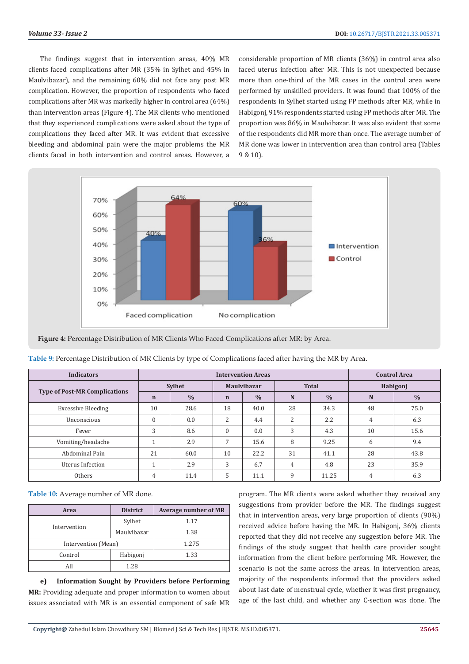The findings suggest that in intervention areas, 40% MR clients faced complications after MR (35% in Sylhet and 45% in Maulvibazar), and the remaining 60% did not face any post MR complication. However, the proportion of respondents who faced complications after MR was markedly higher in control area (64%) than intervention areas (Figure 4). The MR clients who mentioned that they experienced complications were asked about the type of complications they faced after MR. It was evident that excessive bleeding and abdominal pain were the major problems the MR clients faced in both intervention and control areas. However, a

considerable proportion of MR clients (36%) in control area also faced uterus infection after MR. This is not unexpected because more than one-third of the MR cases in the control area were performed by unskilled providers. It was found that 100% of the respondents in Sylhet started using FP methods after MR, while in Habigonj, 91% respondents started using FP methods after MR. The proportion was 86% in Maulvibazar. It was also evident that some of the respondents did MR more than once. The average number of MR done was lower in intervention area than control area (Tables 9 & 10).



**Figure 4:** Percentage Distribution of MR Clients Who Faced Complications after MR: by Area.

| <b>Indicators</b>                    |               | <b>Intervention Areas</b> |                    |               |                |               |          | <b>Control Area</b> |  |  |
|--------------------------------------|---------------|---------------------------|--------------------|---------------|----------------|---------------|----------|---------------------|--|--|
|                                      | <b>Sylhet</b> |                           | <b>Maulvibazar</b> |               |                | <b>Total</b>  | Habigonj |                     |  |  |
| <b>Type of Post-MR Complications</b> | $\mathbf n$   | $\frac{0}{0}$             | $\mathbf n$        | $\frac{0}{0}$ | N              | $\frac{0}{0}$ | N        | $\frac{0}{0}$       |  |  |
| <b>Excessive Bleeding</b>            | 10            | 28.6                      | 18                 | 40.0          | 28             | 34.3          | 48       | 75.0                |  |  |
| Unconscious                          | $\mathbf{0}$  | 0.0                       | 2                  | 4.4           | 2              | 2.2           | 4        | 6.3                 |  |  |
| Fever                                | 3             | 8.6                       | $\Omega$           | 0.0           | 3              | 4.3           | 10       | 15.6                |  |  |
| Vomiting/headache                    |               | 2.9                       | $\overline{7}$     | 15.6          | 8              | 9.25          | 6        | 9.4                 |  |  |
| Abdominal Pain                       | 21            | 60.0                      | 10                 | 22.2          | 31             | 41.1          | 28       | 43.8                |  |  |
| Uterus Infection                     |               | 2.9                       | 3                  | 6.7           | $\overline{4}$ | 4.8           | 23       | 35.9                |  |  |
| Others                               | 4             | 11.4                      | 5                  | 11.1          | 9              | 11.25         | 4        | 6.3                 |  |  |

**Table 10:** Average number of MR done.

| Area         | <b>District</b>     | <b>Average number of MR</b> |  |  |
|--------------|---------------------|-----------------------------|--|--|
|              | Sylhet              | 1.17                        |  |  |
| Intervention | Maulvibazar         | 1.38                        |  |  |
|              | Intervention (Mean) |                             |  |  |
| Control      | Habigonj            | 1.33                        |  |  |
| All          | 1.28                |                             |  |  |

**e) Information Sought by Providers before Performing MR:** Providing adequate and proper information to women about issues associated with MR is an essential component of safe MR

program. The MR clients were asked whether they received any suggestions from provider before the MR. The findings suggest that in intervention areas, very large proportion of clients (90%) received advice before having the MR. In Habigonj, 36% clients reported that they did not receive any suggestion before MR. The findings of the study suggest that health care provider sought information from the client before performing MR. However, the scenario is not the same across the areas. In intervention areas, majority of the respondents informed that the providers asked about last date of menstrual cycle, whether it was first pregnancy, age of the last child, and whether any C-section was done. The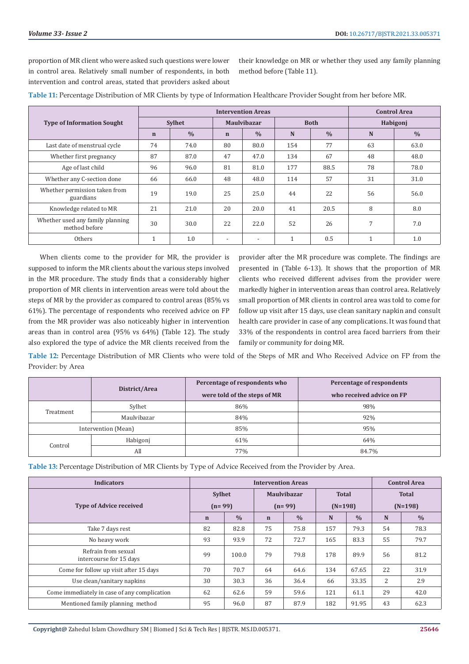proportion of MR client who were asked such questions were lower in control area. Relatively small number of respondents, in both intervention and control areas, stated that providers asked about

their knowledge on MR or whether they used any family planning method before (Table 11).

|                                                   |               |               | <b>Control Area</b> |               |             |               |          |               |
|---------------------------------------------------|---------------|---------------|---------------------|---------------|-------------|---------------|----------|---------------|
| <b>Type of Information Sought</b>                 | <b>Sylhet</b> |               | <b>Maulvibazar</b>  |               | <b>Both</b> |               | Habigonj |               |
|                                                   | $\mathbf n$   | $\frac{0}{0}$ | $\mathbf n$         | $\frac{0}{0}$ | N           | $\frac{0}{0}$ | N        | $\frac{0}{0}$ |
| Last date of menstrual cycle                      | 74            | 74.0          | 80                  | 80.0          | 154         | 77            | 63       | 63.0          |
| Whether first pregnancy                           | 87            | 87.0          | 47                  | 47.0          | 134         | 67            | 48       | 48.0          |
| Age of last child                                 | 96            | 96.0          | 81                  | 81.0          | 177         | 88.5          | 78       | 78.0          |
| Whether any C-section done                        | 66            | 66.0          | 48                  | 48.0          | 114         | 57            | 31       | 31.0          |
| Whether permission taken from<br>guardians        | 19            | 19.0          | 25                  | 25.0          | 44          | 22            | 56       | 56.0          |
| Knowledge related to MR                           | 21            | 21.0          | 20                  | 20.0          | 41          | 20.5          | 8        | 8.0           |
| Whether used any family planning<br>method before | 30            | 30.0          | 22                  | 22.0          | 52          | 26            | 7        | 7.0           |
| Others                                            |               | 1.0           |                     |               |             | 0.5           | и        | 1.0           |

**Table 11:** Percentage Distribution of MR Clients by type of Information Healthcare Provider Sought from her before MR.

When clients come to the provider for MR, the provider is supposed to inform the MR clients about the various steps involved in the MR procedure. The study finds that a considerably higher proportion of MR clients in intervention areas were told about the steps of MR by the provider as compared to control areas (85% vs 61%). The percentage of respondents who received advice on FP from the MR provider was also noticeably higher in intervention areas than in control area (95% vs 64%) (Table 12). The study also explored the type of advice the MR clients received from the

provider after the MR procedure was complete. The findings are presented in (Table 6-13). It shows that the proportion of MR clients who received different advises from the provider were markedly higher in intervention areas than control area. Relatively small proportion of MR clients in control area was told to come for follow up visit after 15 days, use clean sanitary napkin and consult health care provider in case of any complications. It was found that 33% of the respondents in control area faced barriers from their family or community for doing MR.

**Table 12:** Percentage Distribution of MR Clients who were told of the Steps of MR and Who Received Advice on FP from the Provider: by Area

|                     | District/Area            | Percentage of respondents who | Percentage of respondents |
|---------------------|--------------------------|-------------------------------|---------------------------|
|                     |                          | were told of the steps of MR  | who received advice on FP |
|                     | Sylhet                   | 86%                           | 98%                       |
|                     | Treatment<br>Maulvibazar | 84%                           | 92%                       |
| Intervention (Mean) |                          | 85%                           | 95%                       |
|                     | Habigonj                 | 61%                           | 64%                       |
| Control             | All                      | 77%                           | 84.7%                     |

**Table 13:** Percentage Distribution of MR Clients by Type of Advice Received from the Provider by Area.

| <b>Indicators</b>                              |                           | <b>Intervention Areas</b> |                                |               |                           |               |                           | <b>Control Area</b> |  |  |
|------------------------------------------------|---------------------------|---------------------------|--------------------------------|---------------|---------------------------|---------------|---------------------------|---------------------|--|--|
| <b>Type of Advice received</b>                 | <b>Sylhet</b><br>$(n=99)$ |                           | <b>Maulvibazar</b><br>$(n=99)$ |               | <b>Total</b><br>$(N=198)$ |               | <b>Total</b><br>$(N=198)$ |                     |  |  |
|                                                | $\mathbf n$               | $\frac{0}{0}$             | $\mathbf n$                    | $\frac{0}{0}$ | N                         | $\frac{0}{0}$ | N                         | $\frac{0}{0}$       |  |  |
| Take 7 days rest                               | 82                        | 82.8                      | 75                             | 75.8          | 157                       | 79.3          | 54                        | 78.3                |  |  |
| No heavy work                                  | 93                        | 93.9                      | 72                             | 72.7          | 165                       | 83.3          | 55                        | 79.7                |  |  |
| Refrain from sexual<br>intercourse for 15 days | 99                        | 100.0                     | 79                             | 79.8          | 178                       | 89.9          | 56                        | 81.2                |  |  |
| Come for follow up visit after 15 days         | 70                        | 70.7                      | 64                             | 64.6          | 134                       | 67.65         | 22                        | 31.9                |  |  |
| Use clean/sanitary napkins                     | 30                        | 30.3                      | 36                             | 36.4          | 66                        | 33.35         | 2                         | 2.9                 |  |  |
| Come immediately in case of any complication   | 62                        | 62.6                      | 59                             | 59.6          | 121                       | 61.1          | 29                        | 42.0                |  |  |
| Mentioned family planning method               | 95                        | 96.0                      | 87                             | 87.9          | 182                       | 91.95         | 43                        | 62.3                |  |  |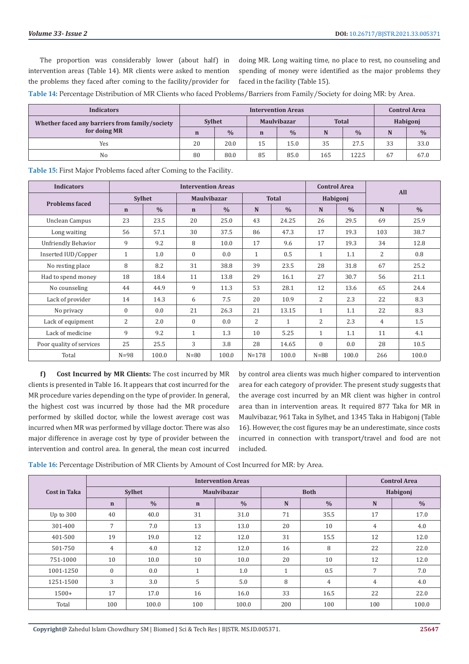The proportion was considerably lower (about half) in intervention areas (Table 14). MR clients were asked to mention the problems they faced after coming to the facility/provider for doing MR. Long waiting time, no place to rest, no counseling and spending of money were identified as the major problems they faced in the facility (Table 15).

**Table 14:** Percentage Distribution of MR Clients who faced Problems/Barriers from Family/Society for doing MR: by Area.

| <b>Indicators</b>                                              |               |               |                    | <b>Control Area</b> |              |               |          |               |
|----------------------------------------------------------------|---------------|---------------|--------------------|---------------------|--------------|---------------|----------|---------------|
| Whether faced any barriers from family/society<br>for doing MR | <b>Sylhet</b> |               | <b>Maulvibazar</b> |                     | <b>Total</b> |               | Habigonj |               |
|                                                                | $\mathbf n$   | $\frac{0}{0}$ | $\mathbf n$        | $\frac{0}{0}$       | N            | $\frac{0}{0}$ | N        | $\frac{0}{0}$ |
| Yes                                                            | 20            | 20.0          | 15                 | 15.0                | 35           | 27.5          | 33       | 33.0          |
| No                                                             | 80            | 80.0          | 85                 | 85.0                | 165          | 122.5         | 67       | 67.0          |

**Table 15:** First Major Problems faced after Coming to the Facility.

| <b>Indicators</b>          | <b>Intervention Areas</b> |               |              |                    |                |               |                | <b>Control Area</b> | All            |               |  |
|----------------------------|---------------------------|---------------|--------------|--------------------|----------------|---------------|----------------|---------------------|----------------|---------------|--|
| <b>Problems faced</b>      | <b>Sylhet</b>             |               |              | <b>Maulvibazar</b> |                | <b>Total</b>  |                | Habigonj            |                |               |  |
|                            | $\mathbf n$               | $\frac{0}{0}$ | $\mathbf n$  | $\frac{0}{0}$      | N              | $\frac{0}{0}$ | N              | $\frac{0}{0}$       | N              | $\frac{0}{0}$ |  |
| Unclean Campus             | 23                        | 23.5          | 20           | 25.0               | 43             | 24.25         | 26             | 29.5                | 69             | 25.9          |  |
| Long waiting               | 56                        | 57.1          | 30           | 37.5               | 86             | 47.3          | 17             | 19.3                | 103            | 38.7          |  |
| <b>Unfriendly Behavior</b> | 9                         | 9.2           | 8            | 10.0               | 17             | 9.6           | 17             | 19.3                | 34             | 12.8          |  |
| Inserted IUD/Copper        | $\mathbf{1}$              | 1.0           | $\mathbf{0}$ | 0.0                | $\mathbf{1}$   | 0.5           | $\mathbf{1}$   | 1.1                 | 2              | 0.8           |  |
| No resting place           | 8                         | 8.2           | 31           | 38.8               | 39             | 23.5          | 28             | 31.8                | 67             | 25.2          |  |
| Had to spend money         | 18                        | 18.4          | 11           | 13.8               | 29             | 16.1          | 27             | 30.7                | 56             | 21.1          |  |
| No counseling              | 44                        | 44.9          | 9            | 11.3               | 53             | 28.1          | 12             | 13.6                | 65             | 24.4          |  |
| Lack of provider           | 14                        | 14.3          | 6            | 7.5                | 20             | 10.9          | $\overline{2}$ | 2.3                 | 22             | 8.3           |  |
| No privacy                 | $\overline{0}$            | 0.0           | 21           | 26.3               | 21             | 13.15         | $\mathbf{1}$   | 1.1                 | 22             | 8.3           |  |
| Lack of equipment          | 2                         | 2.0           | $\mathbf{0}$ | 0.0                | $\overline{2}$ | $\mathbf{1}$  | $\overline{2}$ | 2.3                 | $\overline{4}$ | 1.5           |  |
| Lack of medicine           | 9                         | 9.2           | $\mathbf{1}$ | 1.3                | 10             | 5.25          | $\mathbf{1}$   | 1.1                 | 11             | 4.1           |  |
| Poor quality of services   | 25                        | 25.5          | 3            | 3.8                | 28             | 14.65         | $\mathbf{0}$   | 0.0                 | 28             | 10.5          |  |
| Total                      | $N=98$                    | 100.0         | $N=80$       | 100.0              | $N = 178$      | 100.0         | $N = 88$       | 100.0               | 266            | 100.0         |  |

**f) Cost Incurred by MR Clients:** The cost incurred by MR clients is presented in Table 16. It appears that cost incurred for the MR procedure varies depending on the type of provider. In general, the highest cost was incurred by those had the MR procedure performed by skilled doctor, while the lowest average cost was incurred when MR was performed by village doctor. There was also major difference in average cost by type of provider between the intervention and control area. In general, the mean cost incurred

by control area clients was much higher compared to intervention area for each category of provider. The present study suggests that the average cost incurred by an MR client was higher in control area than in intervention areas. It required 877 Taka for MR in Maulvibazar, 961 Taka in Sylhet, and 1345 Taka in Habigonj (Table 16). However, the cost figures may be an underestimate, since costs incurred in connection with transport/travel and food are not included.

**Table 16:** Percentage Distribution of MR Clients by Amount of Cost Incurred for MR: by Area.

|              |                |               | <b>Control Area</b> |                    |     |                |                |               |  |
|--------------|----------------|---------------|---------------------|--------------------|-----|----------------|----------------|---------------|--|
| Cost in Taka | <b>Sylhet</b>  |               |                     | <b>Maulvibazar</b> |     | <b>Both</b>    | Habigonj       |               |  |
|              | $\mathbf n$    | $\frac{0}{0}$ | $\mathbf n$         | $\frac{0}{0}$      | N   | $\frac{0}{0}$  | N              | $\frac{0}{0}$ |  |
| Up to 300    | 40             | 40.0          | 31                  | 31.0               | 71  | 35.5           | 17             | 17.0          |  |
| 301-400      | $\overline{7}$ | 7.0           | 13                  | 13.0               | 20  | 10             | 4              | 4.0           |  |
| 401-500      | 19             | 19.0          | 12                  | 12.0               | 31  | 15.5           | 12             | 12.0          |  |
| 501-750      | $\overline{4}$ | 4.0           | 12                  | 12.0               | 16  | 8              | 22             | 22.0          |  |
| 751-1000     | 10             | 10.0          | 10                  | 10.0               | 20  | 10             | 12             | 12.0          |  |
| 1001-1250    | $\mathbf{0}$   | 0.0           | $\overline{A}$      | 1.0                |     | 0.5            | $\overline{7}$ | 7.0           |  |
| 1251-1500    | 3              | 3.0           | 5                   | 5.0                | 8   | $\overline{4}$ | $\overline{4}$ | 4.0           |  |
| $1500+$      | 17             | 17.0          | 16                  | 16.0               | 33  | 16.5           | 22             | 22.0          |  |
| Total        | 100            | 100.0         | 100                 | 100.0              | 200 | 100            | 100            | 100.0         |  |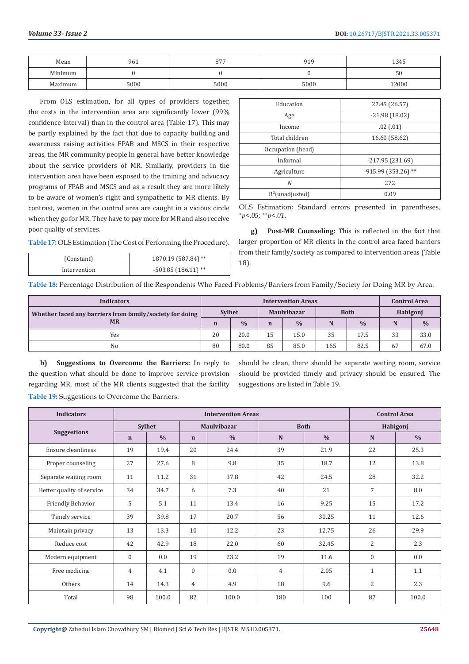| Mean               | 961  | $\sim$ $ -$<br>υ. | 010<br>. . | 1345  |
|--------------------|------|-------------------|------------|-------|
| Minimum            |      |                   |            | 50    |
| $M_2$<br>11 U.I.I. | 5000 | 5000              | 5000       | 12000 |

From OLS estimation, for all types of providers together, the costs in the intervention area are significantly lower (99% confidence interval) than in the control area (Table 17). This may be partly explained by the fact that due to capacity building and awareness raising activities FPAB and MSCS in their respective areas, the MR community people in general have better knowledge about the service providers of MR. Similarly, providers in the intervention area have been exposed to the training and advocacy programs of FPAB and MSCS and as a result they are more likely to be aware of women's right and sympathetic to MR clients. By contrast, women in the control area are caught in a vicious circle when they go for MR. They have to pay more for MR and also receive poor quality of services.

**Table 17:**OLS Estimation (The Cost of Performing the Procedure).

| (Constant)   | 1870.19 (587.84) **  |
|--------------|----------------------|
| Intervention | $-503.85(186.11)$ ** |

| Education          | 27.45 (26.57)       |
|--------------------|---------------------|
| Age                | $-21.98(18.02)$     |
| Income             | .02(0.01)           |
| Total children     | 16.60 (58.62)       |
| Occupation (head)  |                     |
| Informal           | $-217.95(231.69)$   |
| Agriculture        | -915.99 (353.26) ** |
| N                  | 272                 |
| $R^2$ (unadjusted) | 0.09                |

OLS Estimation; Standard errors presented in parentheses. *\*p<.05; \*\*p<.01*.

**g) Post-MR Counseling:** This is reflected in the fact that larger proportion of MR clients in the control area faced barriers from their family/society as compared to intervention areas (Table 18).

**Table 18:** Percentage Distribution of the Respondents Who Faced Problems/Barriers from Family/Society for Doing MR by Area.

| <b>Indicators</b>                                        |               |               | <b>Control Area</b> |               |             |               |          |               |
|----------------------------------------------------------|---------------|---------------|---------------------|---------------|-------------|---------------|----------|---------------|
| Whether faced any barriers from family/society for doing | <b>Sylhet</b> |               | <b>Maulvibazar</b>  |               | <b>Both</b> |               | Habigonj |               |
| <b>MR</b>                                                | n             | $\frac{0}{0}$ |                     | $\frac{0}{0}$ |             | $\frac{0}{0}$ | N        | $\frac{0}{0}$ |
| Yes                                                      | 20            | 20.0          | 15                  | 15.0          | 35          | 17.5          | 33       | 33.0          |
| N <sub>o</sub>                                           | 80            | 80.0          | 85                  | 85.0          | 165         | 82.5          | 67       | 67.0          |

**h) Suggestions to Overcome the Barriers:** In reply to the question what should be done to improve service provision regarding MR, most of the MR clients suggested that the facility should be clean, there should be separate waiting room, service should be provided timely and privacy should be ensured. The suggestions are listed in Table 19.

| <b>Indicators</b>         |              |               | <b>Control Area</b> |                    |                |               |                  |               |  |  |
|---------------------------|--------------|---------------|---------------------|--------------------|----------------|---------------|------------------|---------------|--|--|
| <b>Suggestions</b>        |              | <b>Sylhet</b> |                     | <b>Maulvibazar</b> |                | <b>Both</b>   | Habigonj         |               |  |  |
|                           | $\mathbf n$  | $\frac{0}{0}$ | $\mathbf n$         | $\frac{0}{0}$      | $\mathbf N$    | $\frac{0}{0}$ | N                | $\frac{0}{0}$ |  |  |
| Ensure cleanliness        | 19           | 19.4          | 20                  | 24.4               | 39             | 21.9          | 22               | 25.3          |  |  |
| Proper counseling         | 27           | 27.6          | 8                   | 9.8                | 35             | 18.7          | 12               | 13.8          |  |  |
| Separate waiting room     | 11           | 11.2          | 31                  | 37.8               | 42             | 24.5          | 28               | 32.2          |  |  |
| Better quality of service | 34           | 34.7          | 6                   | 7.3                | 40             | 21            | $\overline{7}$   | 8.0           |  |  |
| Friendly Behavior         | 5            | 5.1           | 11                  | 13.4               | 16             | 9.25          | 15               | 17.2          |  |  |
| Timely service            | 39           | 39.8          | 17                  | 20.7               | 56             | 30.25         | 11               | 12.6          |  |  |
| Maintain privacy          | 13           | 13.3          | 10 <sup>1</sup>     | 12.2               | 23             | 12.75         | 26               | 29.9          |  |  |
| Reduce cost               | 42           | 42.9          | 18                  | 22.0               | 60             | 32.45         | 2                | 2.3           |  |  |
| Modern equipment          | $\mathbf{0}$ | 0.0           | 19                  | 23.2               | 19             | 11.6          | $\boldsymbol{0}$ | 0.0           |  |  |
| Free medicine             | 4            | 4.1           | $\mathbf{0}$        | 0.0                | $\overline{4}$ | 2.05          | $\mathbf{1}$     | 1.1           |  |  |
| Others                    | 14           | 14.3          | $\overline{4}$      | 4.9                | 18             | 9.6           | 2                | 2.3           |  |  |
| Total                     | 98           | 100.0         | 82                  | 100.0              | 180            | 100           | 87               | 100.0         |  |  |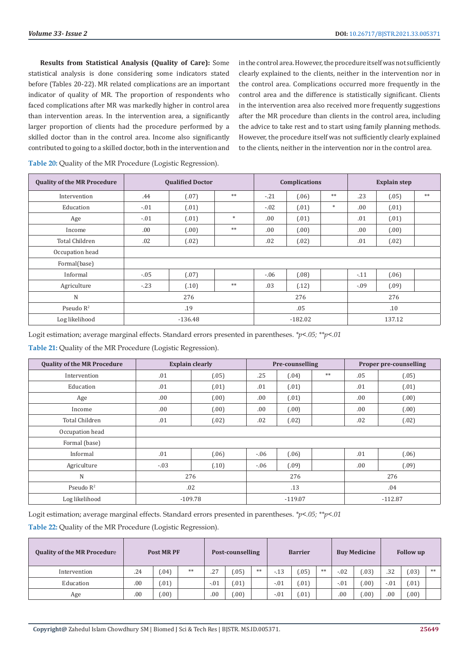**Results from Statistical Analysis (Quality of Care):** Some statistical analysis is done considering some indicators stated before (Tables 20-22). MR related complications are an important indicator of quality of MR. The proportion of respondents who faced complications after MR was markedly higher in control area than intervention areas. In the intervention area, a significantly larger proportion of clients had the procedure performed by a skilled doctor than in the control area. Income also significantly contributed to going to a skilled doctor, both in the intervention and

in the control area. However, the procedure itself was not sufficiently clearly explained to the clients, neither in the intervention nor in the control area. Complications occurred more frequently in the control area and the difference is statistically significant. Clients in the intervention area also received more frequently suggestions after the MR procedure than clients in the control area, including the advice to take rest and to start using family planning methods. However, the procedure itself was not sufficiently clearly explained to the clients, neither in the intervention nor in the control area.

| <b>Quality of the MR Procedure</b> |         | <b>Qualified Doctor</b> |        |           | <b>Complications</b> |     | <b>Explain step</b> |       |      |  |  |
|------------------------------------|---------|-------------------------|--------|-----------|----------------------|-----|---------------------|-------|------|--|--|
| Intervention                       | .44     | (.07)                   | $**$   | $-21$     | (.06)                | **  | .23                 | (.05) | $**$ |  |  |
| Education                          | $-.01$  | (.01)                   |        | $-.02$    | (.01)                | $*$ | .00.                | (.01) |      |  |  |
| Age                                | $-.01$  | (.01)                   | $\ast$ | .00.      | (.01)                |     | .01                 | (.01) |      |  |  |
| Income                             | .00.    | (.00)                   | $**$   | .00.      | (.00)                |     | .00.                | (.00) |      |  |  |
| <b>Total Children</b>              | .02     | (.02)                   |        | .02       | (.02)                |     | .01                 | (.02) |      |  |  |
| Occupation head                    |         |                         |        |           |                      |     |                     |       |      |  |  |
| Formal(base)                       |         |                         |        |           |                      |     |                     |       |      |  |  |
| Informal                           | $-0.05$ | (.07)                   |        | $-0.06$   | (.08)                |     | $-11$               | (.06) |      |  |  |
| Agriculture                        | $-23$   | (.10)                   | $**$   | .03       | (.12)                |     | $-.09$              | (.09) |      |  |  |
| $\mathbf N$                        |         | 276                     |        | 276       |                      |     | 276                 |       |      |  |  |
| Pseudo $R^2$                       |         | .19                     |        | .05       |                      |     | .10                 |       |      |  |  |
| Log likelihood                     |         | $-136.48$               |        | $-182.02$ |                      |     | 137.12              |       |      |  |  |

**Table 20:** Quality of the MR Procedure (Logistic Regression).

Logit estimation; average marginal effects. Standard errors presented in parentheses. *\*p<.05; \*\*p<.01*

**Table 21:** Quality of the MR Procedure (Logistic Regression).

| <b>Quality of the MR Procedure</b> | <b>Explain clearly</b> |           | Pre-counselling |           | <b>Proper pre-counselling</b> |           |       |  |  |
|------------------------------------|------------------------|-----------|-----------------|-----------|-------------------------------|-----------|-------|--|--|
| Intervention                       | .01                    | (.05)     | .25             | (.04)     | $**$                          | .05       | (.05) |  |  |
| Education                          | .01                    | (.01)     | .01             | (.01)     |                               | .01       | (.01) |  |  |
| Age                                | .00.                   | (.00)     | .00.            | (.01)     |                               | .00.      | (.00) |  |  |
| Income                             | 00.                    | (.00)     | .00.            | (.00)     |                               | .00.      | (.00) |  |  |
| <b>Total Children</b>              | .01                    | (.02)     | .02             | (.02)     |                               | .02       | (.02) |  |  |
| Occupation head                    |                        |           |                 |           |                               |           |       |  |  |
| Formal (base)                      |                        |           |                 |           |                               |           |       |  |  |
| Informal                           | .01                    | (.06)     | $-0.06$         | (.06)     |                               | .01       | (.06) |  |  |
| Agriculture                        | $-.03$                 | (.10)     | $-0.06$         | (.09)     |                               | .00.      | (.09) |  |  |
| N                                  | 276                    | 276       |                 |           | 276                           |           |       |  |  |
| Pseudo $R^2$                       | .02                    | .13       |                 |           | .04                           |           |       |  |  |
| Log likelihood                     |                        | $-109.78$ |                 | $-119.07$ |                               | $-112.87$ |       |  |  |

Logit estimation; average marginal effects. Standard errors presented in parentheses. *\*p<.05; \*\*p<.01*

**Table 22:** Quality of the MR Procedure (Logistic Regression).

| <b>Quality of the MR Procedure</b> | <b>Post MR PF</b> |        | Post-counselling |        |      | <b>Barrier</b> |        |      |    | <b>Buy Medicine</b> | <b>Follow</b> up |        |        |    |
|------------------------------------|-------------------|--------|------------------|--------|------|----------------|--------|------|----|---------------------|------------------|--------|--------|----|
| Intervention                       | .24               | (0.04) | **               | .27    | .05) | **             | $-13$  | .05) | ** | $-.02$              | .03)             | .32    | (0.03) | ** |
| Education                          | .00               | (.01)  |                  | $-.01$ | .01) |                | $-.01$ | .01) |    | $-.01$              | .001             | $-.01$ | (0.01) |    |
| Age                                | .00               | (00)   |                  | .00    | .00) |                | $-.01$ | .01) |    | .00                 | .001             | .00    | .001   |    |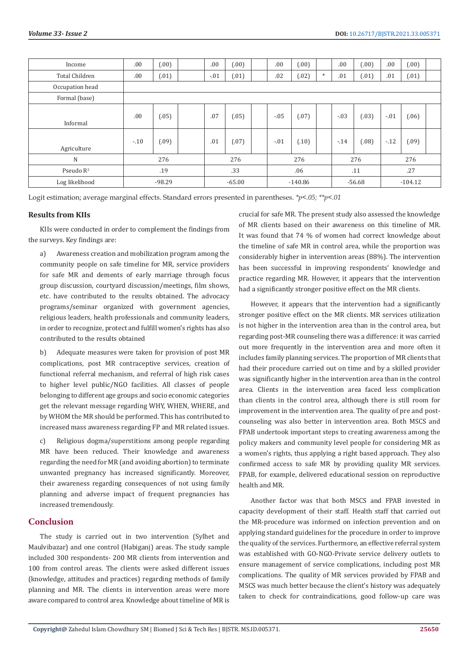| Income                | .00    | (.00)    |     | .00      | (.00) |           | .00    | (.00) |          | .00    | (.00)     | .00    | (.00)  |  |
|-----------------------|--------|----------|-----|----------|-------|-----------|--------|-------|----------|--------|-----------|--------|--------|--|
| <b>Total Children</b> | .00    | (.01)    |     | $-.01$   | (.01) |           | .02    | (.02) | $\ast$   | .01    | (.01)     | .01    | (.01)  |  |
| Occupation head       |        |          |     |          |       |           |        |       |          |        |           |        |        |  |
| Formal (base)         |        |          |     |          |       |           |        |       |          |        |           |        |        |  |
| Informal              | .00    | (.05)    |     | .07      | (.05) |           | $-.05$ | (.07) |          | $-.03$ | (.03)     | $-.01$ | (06)   |  |
| Agriculture           | $-.10$ | (.09)    |     | .01      | (.07) |           | $-.01$ | (.10) |          | $-14$  | (.08)     | $-12$  | (0.09) |  |
| N                     | 276    |          | 276 |          | 276   |           | 276    |       | 276      |        |           |        |        |  |
| Pseudo $R^2$          | .19    |          | .33 |          | .06   |           | .11    |       | .27      |        |           |        |        |  |
| Log likelihood        |        | $-98.29$ |     | $-65.00$ |       | $-140.86$ |        |       | $-56.68$ |        | $-104.12$ |        |        |  |

Logit estimation; average marginal effects. Standard errors presented in parentheses. *\*p<.05; \*\*p<.01*

#### **Results from KIIs**

KIIs were conducted in order to complement the findings from the surveys. Key findings are:

a) Awareness creation and mobilization program among the community people on safe timeline for MR, service providers for safe MR and dements of early marriage through focus group discussion, courtyard discussion/meetings, film shows, etc. have contributed to the results obtained. The advocacy programs/seminar organized with government agencies, religious leaders, health professionals and community leaders, in order to recognize, protect and fulfill women's rights has also contributed to the results obtained

b) Adequate measures were taken for provision of post MR complications, post MR contraceptive services, creation of functional referral mechanism, and referral of high risk cases to higher level public/NGO facilities. All classes of people belonging to different age groups and socio economic categories get the relevant message regarding WHY, WHEN, WHERE, and by WHOM the MR should be performed. This has contributed to increased mass awareness regarding FP and MR related issues.

c) Religious dogma/superstitions among people regarding MR have been reduced. Their knowledge and awareness regarding the need for MR (and avoiding abortion) to terminate unwanted pregnancy has increased significantly. Moreover, their awareness regarding consequences of not using family planning and adverse impact of frequent pregnancies has increased tremendously.

#### **Conclusion**

The study is carried out in two intervention (Sylhet and Maulvibazar) and one control (Habiganj) areas. The study sample included 300 respondents- 200 MR clients from intervention and 100 from control areas. The clients were asked different issues (knowledge, attitudes and practices) regarding methods of family planning and MR. The clients in intervention areas were more aware compared to control area. Knowledge about timeline of MR is

crucial for safe MR. The present study also assessed the knowledge of MR clients based on their awareness on this timeline of MR. It was found that 74 % of women had correct knowledge about the timeline of safe MR in control area, while the proportion was considerably higher in intervention areas (88%). The intervention has been successful in improving respondents' knowledge and practice regarding MR. However, it appears that the intervention had a significantly stronger positive effect on the MR clients.

However, it appears that the intervention had a significantly stronger positive effect on the MR clients. MR services utilization is not higher in the intervention area than in the control area, but regarding post-MR counseling there was a difference: it was carried out more frequently in the intervention area and more often it includes family planning services. The proportion of MR clients that had their procedure carried out on time and by a skilled provider was significantly higher in the intervention area than in the control area. Clients in the intervention area faced less complication than clients in the control area, although there is still room for improvement in the intervention area. The quality of pre and postcounseling was also better in intervention area. Both MSCS and FPAB undertook important steps to creating awareness among the policy makers and community level people for considering MR as a women's rights, thus applying a right based approach. They also confirmed access to safe MR by providing quality MR services. FPAB, for example, delivered educational session on reproductive health and MR.

Another factor was that both MSCS and FPAB invested in capacity development of their staff. Health staff that carried out the MR-procedure was informed on infection prevention and on applying standard guidelines for the procedure in order to improve the quality of the services. Furthermore, an effective referral system was established with GO-NGO-Private service delivery outlets to ensure management of service complications, including post MR complications. The quality of MR services provided by FPAB and MSCS was much better because the client's history was adequately taken to check for contraindications, good follow-up care was